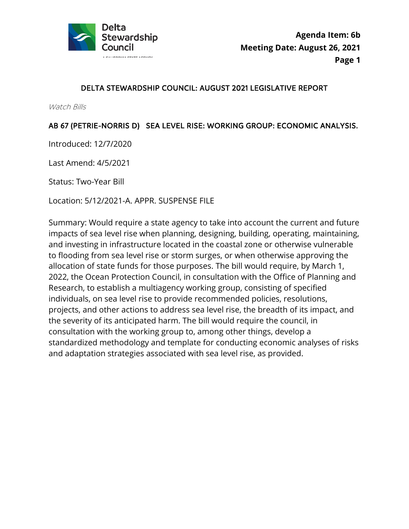

## DELTA STEWARDSHIP COUNCIL: AUGUST 2021 LEGISLATIVE REPORT

Watch Bills

## AB 67 (PETRIE-NORRIS D) SEA LEVEL RISE: WORKING GROUP: ECONOMIC ANALYSIS.

Introduced: 12/7/2020

Last Amend: 4/5/2021

Status: Two-Year Bill

Location: 5/12/2021-A. APPR. SUSPENSE FILE

Summary: Would require a state agency to take into account the current and future impacts of sea level rise when planning, designing, building, operating, maintaining, and investing in infrastructure located in the coastal zone or otherwise vulnerable to flooding from sea level rise or storm surges, or when otherwise approving the allocation of state funds for those purposes. The bill would require, by March 1, 2022, the Ocean Protection Council, in consultation with the Office of Planning and Research, to establish a multiagency working group, consisting of specified individuals, on sea level rise to provide recommended policies, resolutions, projects, and other actions to address sea level rise, the breadth of its impact, and the severity of its anticipated harm. The bill would require the council, in consultation with the working group to, among other things, develop a standardized methodology and template for conducting economic analyses of risks and adaptation strategies associated with sea level rise, as provided.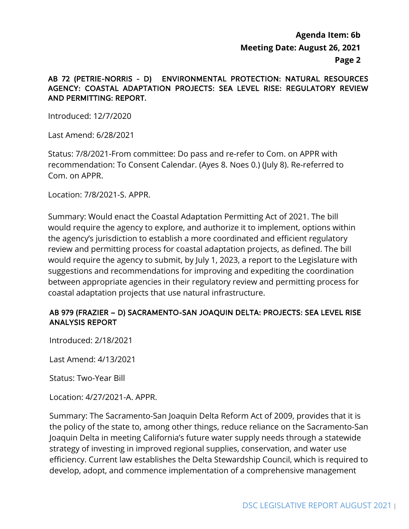## **Agenda Item: 6b Meeting Date: August 26, 2021 Page 2**

#### AB 72 (PETRIE-NORRIS - D) ENVIRONMENTAL PROTECTION: NATURAL RESOURCES AGENCY: COASTAL ADAPTATION PROJECTS: SEA LEVEL RISE: REGULATORY REVIEW AND PERMITTING: REPORT.

Introduced: 12/7/2020

Last Amend: 6/28/2021

 Com. on APPR. Status: 7/8/2021-From committee: Do pass and re-refer to Com. on APPR with recommendation: To Consent Calendar. (Ayes 8. Noes 0.) (July 8). Re-referred to

Location: 7/8/2021-S. APPR.

Summary: Would enact the Coastal Adaptation Permitting Act of 2021. The bill would require the agency to explore, and authorize it to implement, options within the agency's jurisdiction to establish a more coordinated and efficient regulatory review and permitting process for coastal adaptation projects, as defined. The bill would require the agency to submit, by July 1, 2023, a report to the Legislature with suggestions and recommendations for improving and expediting the coordination between appropriate agencies in their regulatory review and permitting process for coastal adaptation projects that use natural infrastructure.

### AB 979 (FRAZIER – D) SACRAMENTO-SAN JOAQUIN DELTA: PROJECTS: SEA LEVEL RISE ANALYSIS REPORT

Introduced: 2/18/2021

Last Amend: 4/13/2021

Status: Two-Year Bill

Location: 4/27/2021-A. APPR.

Summary: The Sacramento-San Joaquin Delta Reform Act of 2009, provides that it is the policy of the state to, among other things, reduce reliance on the Sacramento-San Joaquin Delta in meeting California's future water supply needs through a statewide strategy of investing in improved regional supplies, conservation, and water use efficiency. Current law establishes the Delta Stewardship Council, which is required to develop, adopt, and commence implementation of a comprehensive management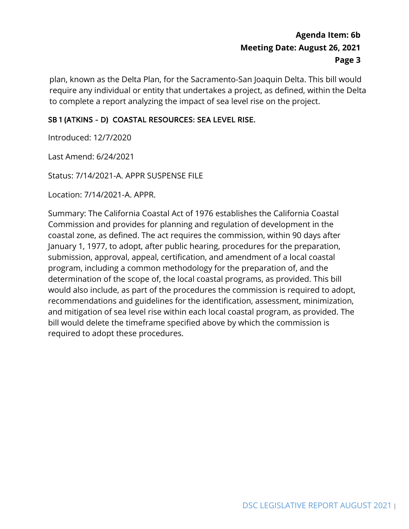plan, known as the Delta Plan, for the Sacramento-San Joaquin Delta. This bill would require any individual or entity that undertakes a project, as defined, within the Delta to complete a report analyzing the impact of sea level rise on the project.

## SB 1 (ATKINS - D) COASTAL RESOURCES: SEA LEVEL RISE.

Introduced: 12/7/2020

Last Amend: 6/24/2021

Status: 7/14/2021-A. APPR SUSPENSE FILE

Location: 7/14/2021-A. APPR.

 Commission and provides for planning and regulation of development in the determination of the scope of, the local coastal programs, as provided. This bill bill would delete the timeframe specified above by which the commission is required to adopt these procedures. Summary: The California Coastal Act of 1976 establishes the California Coastal coastal zone, as defined. The act requires the commission, within 90 days after January 1, 1977, to adopt, after public hearing, procedures for the preparation, submission, approval, appeal, certification, and amendment of a local coastal program, including a common methodology for the preparation of, and the would also include, as part of the procedures the commission is required to adopt, recommendations and guidelines for the identification, assessment, minimization, and mitigation of sea level rise within each local coastal program, as provided. The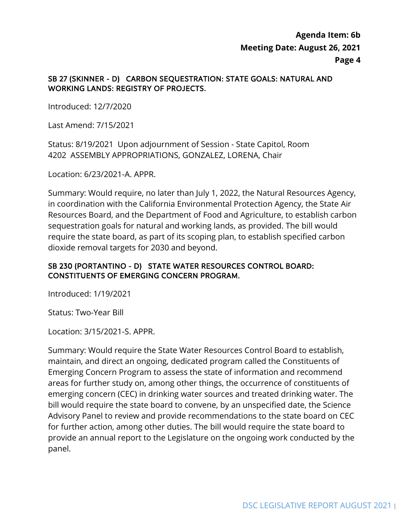#### SB 27 (SKINNER - D) CARBON SEQUESTRATION: STATE GOALS: NATURAL AND WORKING LANDS: REGISTRY OF PROJECTS.

Introduced: 12/7/2020

Last Amend: 7/15/2021

 Status: 8/19/2021 Upon adjournment of Session - State Capitol, Room 4202 ASSEMBLY APPROPRIATIONS, GONZALEZ, LORENA, Chair

Location: 6/23/2021-A. APPR.

Summary: Would require, no later than July 1, 2022, the Natural Resources Agency, in coordination with the California Environmental Protection Agency, the State Air Resources Board, and the Department of Food and Agriculture, to establish carbon sequestration goals for natural and working lands, as provided. The bill would require the state board, as part of its scoping plan, to establish specified carbon dioxide removal targets for 2030 and beyond.

### SB 230 (PORTANTINO - D) STATE WATER RESOURCES CONTROL BOARD: CONSTITUENTS OF EMERGING CONCERN PROGRAM.

Introduced: 1/19/2021

Status: Two-Year Bill

Location: 3/15/2021-S. APPR.

 Advisory Panel to review and provide recommendations to the state board on CEC Summary: Would require the State Water Resources Control Board to establish, maintain, and direct an ongoing, dedicated program called the Constituents of Emerging Concern Program to assess the state of information and recommend areas for further study on, among other things, the occurrence of constituents of emerging concern (CEC) in drinking water sources and treated drinking water. The bill would require the state board to convene, by an unspecified date, the Science for further action, among other duties. The bill would require the state board to provide an annual report to the Legislature on the ongoing work conducted by the panel.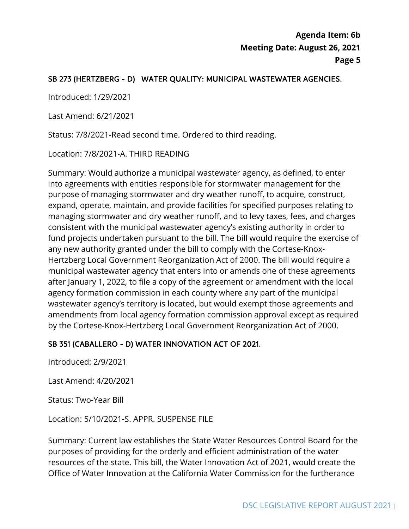## SB 273 (HERTZBERG - D) WATER QUALITY: MUNICIPAL WASTEWATER AGENCIES.

Introduced: 1/29/2021

Last Amend: 6/21/2021

Status: 7/8/2021-Read second time. Ordered to third reading.

Location: 7/8/2021-A. THIRD READING

 consistent with the municipal wastewater agency's existing authority in order to after January 1, 2022, to file a copy of the agreement or amendment with the local Summary: Would authorize a municipal wastewater agency, as defined, to enter into agreements with entities responsible for stormwater management for the purpose of managing stormwater and dry weather runoff, to acquire, construct, expand, operate, maintain, and provide facilities for specified purposes relating to managing stormwater and dry weather runoff, and to levy taxes, fees, and charges fund projects undertaken pursuant to the bill. The bill would require the exercise of any new authority granted under the bill to comply with the Cortese-Knox-Hertzberg Local Government Reorganization Act of 2000. The bill would require a municipal wastewater agency that enters into or amends one of these agreements agency formation commission in each county where any part of the municipal wastewater agency's territory is located, but would exempt those agreements and amendments from local agency formation commission approval except as required by the Cortese-Knox-Hertzberg Local Government Reorganization Act of 2000.

### SB 351 (CABALLERO - D) WATER INNOVATION ACT OF 2021.

Introduced: 2/9/2021

Last Amend: 4/20/2021

Status: Two-Year Bill

Location: 5/10/2021-S. APPR. SUSPENSE FILE

 Summary: Current law establishes the State Water Resources Control Board for the purposes of providing for the orderly and efficient administration of the water resources of the state. This bill, the Water Innovation Act of 2021, would create the Office of Water Innovation at the California Water Commission for the furtherance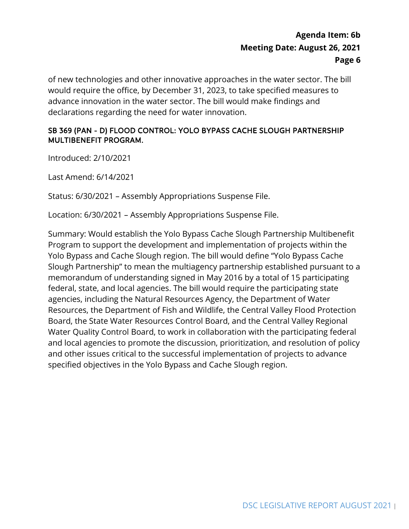of new technologies and other innovative approaches in the water sector. The bill would require the office, by December 31, 2023, to take specified measures to advance innovation in the water sector. The bill would make findings and declarations regarding the need for water innovation.

### SB 369 (PAN - D) FLOOD CONTROL: YOLO BYPASS CACHE SLOUGH PARTNERSHIP MULTIBENEFIT PROGRAM.

Introduced: 2/10/2021

Last Amend: 6/14/2021

Status: 6/30/2021 – Assembly Appropriations Suspense File.

Location: 6/30/2021 – Assembly Appropriations Suspense File.

 Yolo Bypass and Cache Slough region. The bill would define "Yolo Bypass Cache and local agencies to promote the discussion, prioritization, and resolution of policy Summary: Would establish the Yolo Bypass Cache Slough Partnership Multibenefit Program to support the development and implementation of projects within the Slough Partnership" to mean the multiagency partnership established pursuant to a memorandum of understanding signed in May 2016 by a total of 15 participating federal, state, and local agencies. The bill would require the participating state agencies, including the Natural Resources Agency, the Department of Water Resources, the Department of Fish and Wildlife, the Central Valley Flood Protection Board, the State Water Resources Control Board, and the Central Valley Regional Water Quality Control Board, to work in collaboration with the participating federal and other issues critical to the successful implementation of projects to advance specified objectives in the Yolo Bypass and Cache Slough region.